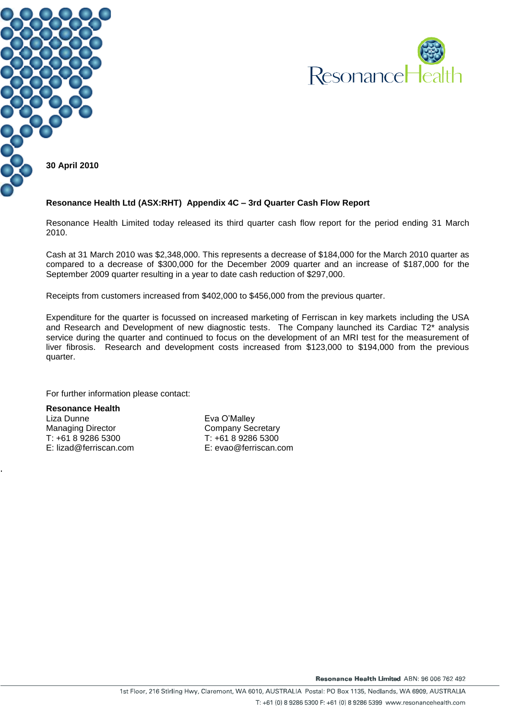



#### **Resonance Health Ltd (ASX:RHT) Appendix 4C – 3rd Quarter Cash Flow Report**

Resonance Health Limited today released its third quarter cash flow report for the period ending 31 March 2010.

Cash at 31 March 2010 was \$2,348,000. This represents a decrease of \$184,000 for the March 2010 quarter as compared to a decrease of \$300,000 for the December 2009 quarter and an increase of \$187,000 for the September 2009 quarter resulting in a year to date cash reduction of \$297,000.

Receipts from customers increased from \$402,000 to \$456,000 from the previous quarter.

Expenditure for the quarter is focussed on increased marketing of Ferriscan in key markets including the USA and Research and Development of new diagnostic tests. The Company launched its Cardiac T2\* analysis service during the quarter and continued to focus on the development of an MRI test for the measurement of liver fibrosis. Research and development costs increased from \$123,000 to \$194,000 from the previous quarter.

For further information please contact:

**Resonance Health** Liza Dunne Managing Director T: +61 8 9286 5300 E: lizad@ferriscan.com

.

Eva O'Malley Company Secretary T: +61 8 9286 5300 E: evao@ferriscan.com

Resonance Health Limited ABN: 96 006 762 492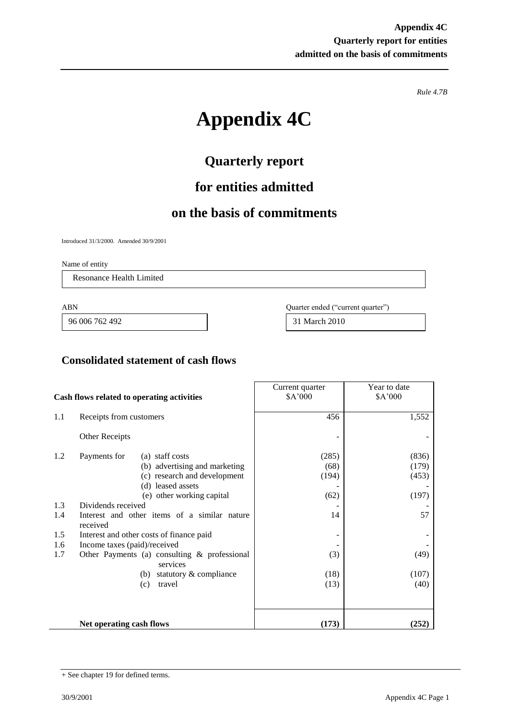*Rule 4.7B*

# **Appendix 4C**

## **Quarterly report**

### **for entities admitted**

### **on the basis of commitments**

Introduced 31/3/2000. Amended 30/9/2001

Name of entity

Resonance Health Limited

96 006 762 492 31 March 2010

ABN Quarter ended ("current quarter")

#### **Consolidated statement of cash flows**

| Cash flows related to operating activities |                              | Current quarter<br>\$A'000                               | Year to date<br>\$A'000 |       |
|--------------------------------------------|------------------------------|----------------------------------------------------------|-------------------------|-------|
|                                            |                              |                                                          |                         |       |
| 1.1                                        | Receipts from customers      |                                                          | 456                     | 1,552 |
|                                            | Other Receipts               |                                                          |                         |       |
| 1.2                                        | Payments for                 | (a) staff costs                                          | (285)                   | (836) |
|                                            |                              | (b) advertising and marketing                            | (68)                    | (179) |
|                                            |                              | (c) research and development                             | (194)                   | (453) |
|                                            |                              | (d) leased assets                                        |                         |       |
|                                            |                              | (e) other working capital                                | (62)                    | (197) |
| 1.3                                        | Dividends received           |                                                          |                         |       |
| 1.4                                        | received                     | Interest and other items of a similar nature             | 14                      | 57    |
| 1.5                                        |                              | Interest and other costs of finance paid                 |                         |       |
| 1.6                                        | Income taxes (paid)/received |                                                          |                         |       |
| 1.7                                        |                              | Other Payments (a) consulting & professional<br>services | (3)                     | (49)  |
|                                            |                              | statutory & compliance<br>(b)                            | (18)                    | (107) |
|                                            |                              | travel<br>(c)                                            | (13)                    | (40)  |
|                                            |                              |                                                          |                         |       |
|                                            | Net operating cash flows     |                                                          | (173)                   | (252) |

j.

<sup>+</sup> See chapter 19 for defined terms.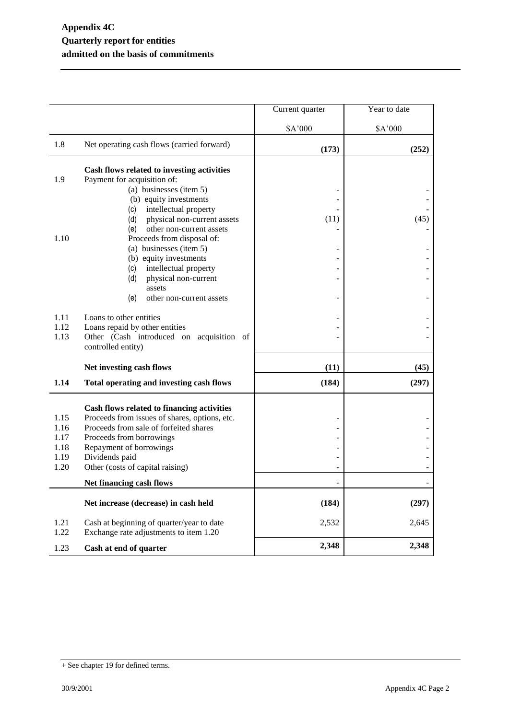|      |                                                                                             | Current quarter | Year to date |
|------|---------------------------------------------------------------------------------------------|-----------------|--------------|
|      |                                                                                             | \$A'000         | \$A'000      |
| 1.8  | Net operating cash flows (carried forward)                                                  | (173)           | (252)        |
|      | Cash flows related to investing activities                                                  |                 |              |
| 1.9  | Payment for acquisition of:                                                                 |                 |              |
|      | (a) businesses (item 5)                                                                     |                 |              |
|      | (b) equity investments                                                                      |                 |              |
|      | intellectual property<br>(c)                                                                |                 |              |
|      | (d)<br>physical non-current assets                                                          | (11)            | (45)         |
|      | other non-current assets<br>(e)                                                             |                 |              |
| 1.10 | Proceeds from disposal of:                                                                  |                 |              |
|      | (a) businesses (item 5)                                                                     | ۰               |              |
|      | (b) equity investments                                                                      |                 |              |
|      | intellectual property<br>(c)                                                                |                 |              |
|      | physical non-current<br>(d)                                                                 |                 |              |
|      | assets                                                                                      |                 |              |
|      | (e)<br>other non-current assets                                                             |                 |              |
| 1.11 | Loans to other entities                                                                     |                 |              |
| 1.12 | Loans repaid by other entities                                                              |                 |              |
| 1.13 | Other (Cash introduced on acquisition of                                                    |                 |              |
|      | controlled entity)                                                                          |                 |              |
|      |                                                                                             |                 |              |
|      | Net investing cash flows                                                                    | (11)            | (45)         |
| 1.14 | Total operating and investing cash flows                                                    | (184)           | (297)        |
|      |                                                                                             |                 |              |
| 1.15 | Cash flows related to financing activities<br>Proceeds from issues of shares, options, etc. |                 |              |
| 1.16 | Proceeds from sale of forfeited shares                                                      |                 |              |
| 1.17 | Proceeds from borrowings                                                                    |                 |              |
| 1.18 | Repayment of borrowings                                                                     |                 |              |
| 1.19 | Dividends paid                                                                              |                 |              |
| 1.20 | Other (costs of capital raising)                                                            |                 |              |
|      | Net financing cash flows                                                                    |                 |              |
|      |                                                                                             |                 |              |
|      | Net increase (decrease) in cash held                                                        | (184)           | (297)        |
| 1.21 | Cash at beginning of quarter/year to date                                                   | 2,532           | 2,645        |
| 1.22 | Exchange rate adjustments to item 1.20                                                      |                 |              |
|      |                                                                                             | 2,348           | 2,348        |
| 1.23 | Cash at end of quarter                                                                      |                 |              |

<sup>+</sup> See chapter 19 for defined terms.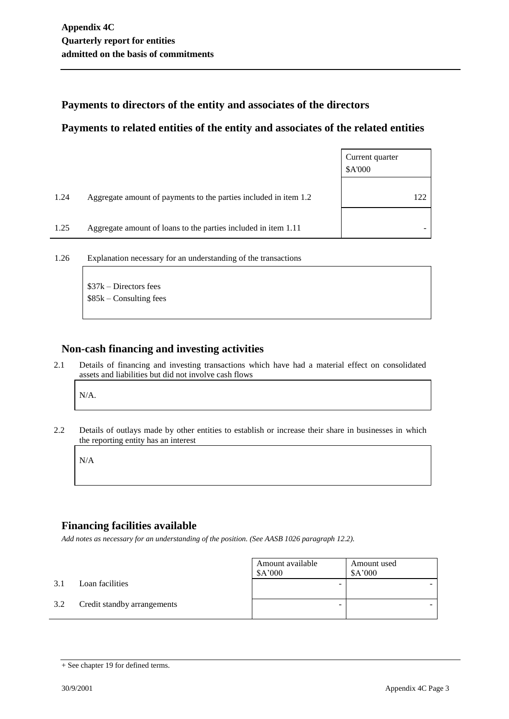#### **Payments to directors of the entity and associates of the directors**

#### **Payments to related entities of the entity and associates of the related entities**

|      |                                                                  | Current quarter<br>\$A'000 |
|------|------------------------------------------------------------------|----------------------------|
| 1.24 | Aggregate amount of payments to the parties included in item 1.2 | 122                        |
| 1.25 | Aggregate amount of loans to the parties included in item 1.11   |                            |

1.26 Explanation necessary for an understanding of the transactions

\$37k – Directors fees \$85k – Consulting fees

#### **Non-cash financing and investing activities**

2.1 Details of financing and investing transactions which have had a material effect on consolidated assets and liabilities but did not involve cash flows

N/A.

2.2 Details of outlays made by other entities to establish or increase their share in businesses in which the reporting entity has an interest

N/A

#### **Financing facilities available**

*Add notes as necessary for an understanding of the position. (See AASB 1026 paragraph 12.2).*

|     |                             | Amount available<br>\$A'000 | Amount used<br>\$A'000 |
|-----|-----------------------------|-----------------------------|------------------------|
| 3.1 | Loan facilities             |                             |                        |
| 3.2 | Credit standby arrangements |                             |                        |

<sup>+</sup> See chapter 19 for defined terms.